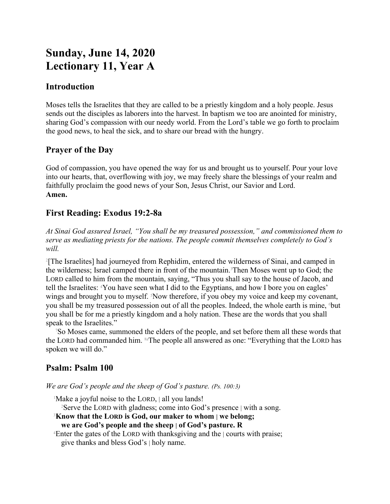# **Sunday, June 14, 2020 Lectionary 11, Year A**

## **Introduction**

Moses tells the Israelites that they are called to be a priestly kingdom and a holy people. Jesus sends out the disciples as laborers into the harvest. In baptism we too are anointed for ministry, sharing God's compassion with our needy world. From the Lord's table we go forth to proclaim the good news, to heal the sick, and to share our bread with the hungry.

# **Prayer of the Day**

God of compassion, you have opened the way for us and brought us to yourself. Pour your love into our hearts, that, overflowing with joy, we may freely share the blessings of your realm and faithfully proclaim the good news of your Son, Jesus Christ, our Savior and Lord. **Amen.**

# **First Reading: Exodus 19:2-8a**

*At Sinai God assured Israel, "You shall be my treasured possession," and commissioned them to serve as mediating priests for the nations. The people commit themselves completely to God's will.*

2 [The Israelites] had journeyed from Rephidim, entered the wilderness of Sinai, and camped in the wilderness; Israel camped there in front of the mountain.3Then Moses went up to God; the LORD called to him from the mountain, saying, "Thus you shall say to the house of Jacob, and tell the Israelites: 4You have seen what I did to the Egyptians, and how I bore you on eagles' wings and brought you to myself. Now therefore, if you obey my voice and keep my covenant, you shall be my treasured possession out of all the peoples. Indeed, the whole earth is mine, but you shall be for me a priestly kingdom and a holy nation. These are the words that you shall speak to the Israelites."

<sup>7</sup>So Moses came, summoned the elders of the people, and set before them all these words that the LORD had commanded him. <sup>8a</sup>The people all answered as one: "Everything that the LORD has spoken we will do."

# **Psalm: Psalm 100**

*We are God's people and the sheep of God's pasture. (Ps. 100:3)*

<sup>1</sup>Make a joyful noise to the LORD, all you lands!

<sup>2</sup>Serve the LORD with gladness; come into God's presence | with a song.

<sup>3</sup>**Know that the LORD is God, our maker to whom | we belong;**

**we are God's people and the sheep | of God's pasture. R**

<sup>4</sup>Enter the gates of the LORD with thanksgiving and the | courts with praise; give thanks and bless God's | holy name.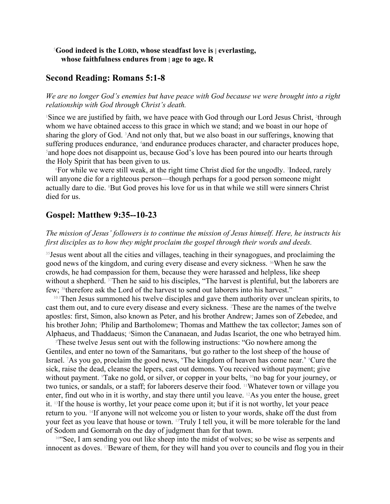#### <sup>5</sup>**Good indeed is the LORD, whose steadfast love is | everlasting, whose faithfulness endures from | age to age. R**

#### **Second Reading: Romans 5:1-8**

*We are no longer God's enemies but have peace with God because we were brought into a right relationship with God through Christ's death.*

<sup>1</sup>Since we are justified by faith, we have peace with God through our Lord Jesus Christ, <sup>2</sup>through whom we have obtained access to this grace in which we stand; and we boast in our hope of sharing the glory of God.  ${}^{3}$ And not only that, but we also boast in our sufferings, knowing that suffering produces endurance, <sup>4</sup>and endurance produces character, and character produces hope, <sup>5</sup> and hope does not disappoint us, because God's love has been poured into our hearts through the Holy Spirit that has been given to us.

<sup>6</sup>For while we were still weak, at the right time Christ died for the ungodly. <sup>7</sup> Indeed, rarely will anyone die for a righteous person—though perhaps for a good person someone might actually dare to die. 8But God proves his love for us in that while we still were sinners Christ died for us.

#### **Gospel: Matthew 9:35--10-23**

#### *The mission of Jesus' followers is to continue the mission of Jesus himself. Here, he instructs his first disciples as to how they might proclaim the gospel through their words and deeds.*

<sup>35</sup> Jesus went about all the cities and villages, teaching in their synagogues, and proclaiming the good news of the kingdom, and curing every disease and every sickness. 36When he saw the crowds, he had compassion for them, because they were harassed and helpless, like sheep without a shepherd. <sup>37</sup>Then he said to his disciples, "The harvest is plentiful, but the laborers are few; 38therefore ask the Lord of the harvest to send out laborers into his harvest."

<sup>10:1</sup>Then Jesus summoned his twelve disciples and gave them authority over unclean spirits, to cast them out, and to cure every disease and every sickness. <sup>2</sup>These are the names of the twelve apostles: first, Simon, also known as Peter, and his brother Andrew; James son of Zebedee, and his brother John; <sup>3</sup>Philip and Bartholomew; Thomas and Matthew the tax collector; James son of Alphaeus, and Thaddaeus; 4Simon the Cananaean, and Judas Iscariot, the one who betrayed him.

<sup>5</sup>These twelve Jesus sent out with the following instructions: "Go nowhere among the Gentiles, and enter no town of the Samaritans, <sup>6</sup>but go rather to the lost sheep of the house of Israel. 7As you go, proclaim the good news, 'The kingdom of heaven has come near.' 8Cure the sick, raise the dead, cleanse the lepers, cast out demons. You received without payment; give without payment. Take no gold, or silver, or copper in your belts, <sup>10</sup>no bag for your journey, or two tunics, or sandals, or a staff; for laborers deserve their food. 11Whatever town or village you enter, find out who in it is worthy, and stay there until you leave. 12As you enter the house, greet it. 13If the house is worthy, let your peace come upon it; but if it is not worthy, let your peace return to you. 14If anyone will not welcome you or listen to your words, shake off the dust from your feet as you leave that house or town. 15Truly I tell you, it will be more tolerable for the land of Sodom and Gomorrah on the day of judgment than for that town.

<sup>16"</sup>See, I am sending you out like sheep into the midst of wolves; so be wise as serpents and innocent as doves. 17Beware of them, for they will hand you over to councils and flog you in their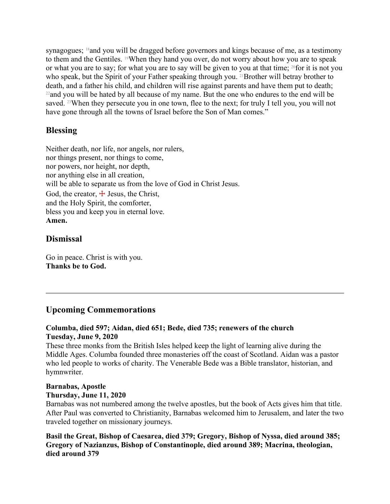synagogues; 18and you will be dragged before governors and kings because of me, as a testimony to them and the Gentiles. <sup>19</sup>When they hand you over, do not worry about how you are to speak or what you are to say; for what you are to say will be given to you at that time; <sup>20</sup>for it is not you who speak, but the Spirit of your Father speaking through you. <sup>21</sup>Brother will betray brother to death, and a father his child, and children will rise against parents and have them put to death; <sup>22</sup>and you will be hated by all because of my name. But the one who endures to the end will be saved. <sup>23</sup>When they persecute you in one town, flee to the next; for truly I tell you, you will not have gone through all the towns of Israel before the Son of Man comes."

### **Blessing**

Neither death, nor life, nor angels, nor rulers, nor things present, nor things to come, nor powers, nor height, nor depth, nor anything else in all creation, will be able to separate us from the love of God in Christ Jesus. God, the creator,  $\pm$  Jesus, the Christ, and the Holy Spirit, the comforter, bless you and keep you in eternal love. **Amen.**

### **Dismissal**

Go in peace. Christ is with you. **Thanks be to God.**

### **Upcoming Commemorations**

#### **Columba, died 597; Aidan, died 651; Bede, died 735; renewers of the church Tuesday, June 9, 2020**

These three monks from the British Isles helped keep the light of learning alive during the Middle Ages. Columba founded three monasteries off the coast of Scotland. Aidan was a pastor who led people to works of charity. The Venerable Bede was a Bible translator, historian, and hymnwriter.

#### **Barnabas, Apostle Thursday, June 11, 2020**

Barnabas was not numbered among the twelve apostles, but the book of Acts gives him that title. After Paul was converted to Christianity, Barnabas welcomed him to Jerusalem, and later the two traveled together on missionary journeys.

**Basil the Great, Bishop of Caesarea, died 379; Gregory, Bishop of Nyssa, died around 385; Gregory of Nazianzus, Bishop of Constantinople, died around 389; Macrina, theologian, died around 379**